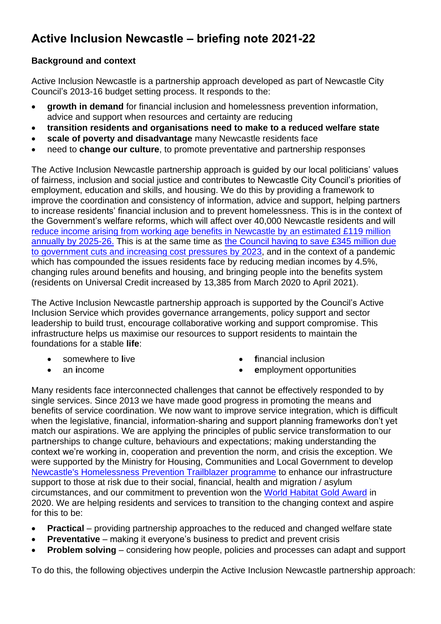# **Active Inclusion Newcastle – briefing note 2021-22**

# **Background and context**

Active Inclusion Newcastle is a partnership approach developed as part of Newcastle City Council's 2013-16 budget setting process. It responds to the:

- **growth in demand** for financial inclusion and homelessness prevention information, advice and support when resources and certainty are reducing
- **transition residents and organisations need to make to a reduced welfare state**
- **scale of poverty and disadvantage** many Newcastle residents face
- need to **change our culture**, to promote preventative and partnership responses

The Active Inclusion Newcastle partnership approach is guided by our local politicians' values of fairness, inclusion and social justice and contributes to Newcastle City Council's priorities of employment, education and skills, and housing. We do this by providing a framework to improve the coordination and consistency of information, advice and support, helping partners to increase residents' financial inclusion and to prevent homelessness. This is in the context of the Government's welfare reforms, which will affect over 40,000 Newcastle residents and will [reduce income arising from working age benefits in Newcastle by](https://democracy.newcastle.gov.uk/documents/s172954/Ten%20years%20on%20welfare%20reform%20impact.pdf) an estimated £119 million [annually by 2025-26.](https://democracy.newcastle.gov.uk/documents/s172954/Ten%20years%20on%20welfare%20reform%20impact.pdf) This is at the same time as the Council having [to save £345](https://www.newcastle.gov.uk/local-government/budget-performance-and-spend/council-plan-and-budget/build-forward-better-our) million due [to government cuts and increasing cost pressures by 2023,](https://www.newcastle.gov.uk/local-government/budget-performance-and-spend/council-plan-and-budget/build-forward-better-our) and in the context of a pandemic which has compounded the issues residents face by reducing median incomes by 4.5%, changing rules around benefits and housing, and bringing people into the benefits system (residents on Universal Credit increased by 13,385 from March 2020 to April 2021).

The Active Inclusion Newcastle partnership approach is supported by the Council's Active Inclusion Service which provides governance arrangements, policy support and sector leadership to build trust, encourage collaborative working and support compromise. This infrastructure helps us maximise our resources to support residents to maintain the foundations for a stable **life**:

• somewhere to **l**ive

• **f**inancial inclusion

• an **i**ncome

• **e**mployment opportunities

Many residents face interconnected challenges that cannot be effectively responded to by single services. Since 2013 we have made good progress in promoting the means and benefits of service coordination. We now want to improve service integration, which is difficult when the legislative, financial, information-sharing and support planning frameworks don't yet match our aspirations. We are applying the principles of public service transformation to our partnerships to change culture, behaviours and expectations; making understanding the context we're working in, cooperation and prevention the norm, and crisis the exception. We were supported by the Ministry for Housing, Communities and Local Government to develop [Newcastle's Homelessness Prevention Trailblazer programme](https://www.newcastle.gov.uk/services/housing/housing-advice-and-homelessness/information-professionals/newcastles-homelessness) to enhance our infrastructure support to those at risk due to their social, financial, health and migration / asylum circumstances, and our commitment to prevention won the [World Habitat](https://world-habitat.org/world-habitat-awards/winners-and-finalists/homelessness-prevention-in-newcastle-upon-tyne/) Gold Award in 2020. We are helping residents and services to transition to the changing context and aspire for this to be:

- **Practical** providing partnership approaches to the reduced and changed welfare state
- **Preventative** making it everyone's business to predict and prevent crisis
- **Problem solving** considering how people, policies and processes can adapt and support

To do this, the following objectives underpin the Active Inclusion Newcastle partnership approach: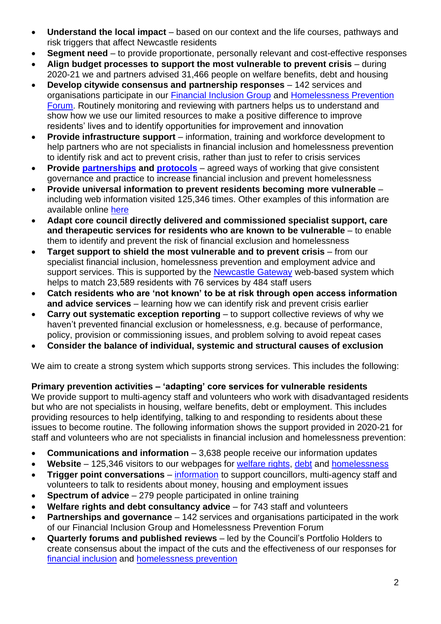- **Understand the local impact** based on our context and the life courses, pathways and risk triggers that affect Newcastle residents
- **Segment need**  to provide proportionate, personally relevant and cost-effective responses
- **Align budget processes to support the most vulnerable to prevent crisis** during 2020-21 we and partners advised 31,466 people on welfare benefits, debt and housing
- **Develop citywide consensus and partnership responses** 142 services and organisations participate in our [Financial Inclusion Group](http://www.newcastle.gov.uk/FIG) and [Homelessness Prevention](http://www.newcastle.gov.uk/HPF)  [Forum.](http://www.newcastle.gov.uk/HPF) Routinely monitoring and reviewing with partners helps us to understand and show how we use our limited resources to make a positive difference to improve residents' lives and to identify opportunities for improvement and innovation
- **Provide infrastructure support** information, training and workforce development to help partners who are not specialists in financial inclusion and homelessness prevention to identify risk and act to prevent crisis, rather than just to refer to crisis services
- **Provide [partnerships](https://www.newcastle.gov.uk/sites/default/files/Housing%20and%20homelessness/Professionals%20page/Active%20Inclusion%20Newcastle%20partnership%20arrangements%20Dec%202019.pdf) and [protocols](https://www.newcastle.gov.uk/services/housing/housing-advice-and-homelessness/information-professionals-homelessness-prevention)** agreed ways of working that give consistent governance and practice to increase financial inclusion and prevent homelessness
- **Provide universal information to prevent residents becoming more vulnerable** including web information visited 125,346 times. Other examples of this information are available online [here](https://www.newcastle.gov.uk/services/benefits/welfare-rights-and-money-advice/information-professionals-and-volunteers-0)
- **Adapt core council directly delivered and commissioned specialist support, care and therapeutic services for residents who are known to be vulnerable** – to enable them to identify and prevent the risk of financial exclusion and homelessness
- **Target support to shield the most vulnerable and to prevent crisis** from our specialist financial inclusion, homelessness prevention and employment advice and support services. This is supported by the [Newcastle Gateway](https://www.newcastle.gov.uk/services/housing/housing-advice-and-homelessness/information-professionals/newcastle-gateway) web-based system which helps to match 23,589 residents with 76 services by 484 staff users
- **Catch residents who are 'not known' to be at risk through open access information and advice services** – learning how we can identify risk and prevent crisis earlier
- **Carry out systematic exception reporting** to support collective reviews of why we haven't prevented financial exclusion or homelessness, e.g. because of performance, policy, provision or commissioning issues, and problem solving to avoid repeat cases
- **Consider the balance of individual, systemic and structural causes of exclusion**

We aim to create a strong system which supports strong services. This includes the following:

# **Primary prevention activities – 'adapting' core services for vulnerable residents**

We provide support to multi-agency staff and volunteers who work with disadvantaged residents but who are not specialists in housing, welfare benefits, debt or employment. This includes providing resources to help identifying, talking to and responding to residents about these issues to become routine. The following information shows the support provided in 2020-21 for staff and volunteers who are not specialists in financial inclusion and homelessness prevention:

- **Communications and information** 3,638 people receive our information updates
- **Website** 125,346 visitors to our webpages for [welfare rights,](http://www.newcastle.gov.uk/benefits-and-council-tax/welfare-rights-and-money-advice) [debt](http://www.newcastle.gov.uk/benefits-and-council-tax/welfare-rights-and-money-advice/debt-and-money-advice) and [homelessness](http://www.newcastle.gov.uk/housing/housing-advice-and-homelessness)
- **Trigger point conversations** [information](http://www.newcastle.gov.uk/benefits-and-council-tax/welfare-rights-and-money-advice/information-professionals-and-volunteers#triggerpoint) to support councillors, multi-agency staff and volunteers to talk to residents about money, housing and employment issues
- **Spectrum of advice** 279 people participated in online training
- **Welfare rights and debt consultancy advice**  for 743 staff and volunteers
- **Partnerships and governance**  142 services and organisations participated in the work of our Financial Inclusion Group and Homelessness Prevention Forum
- **Quarterly forums and published reviews**  led by the Council's Portfolio Holders to create consensus about the impact of the cuts and the effectiveness of our responses for [financial inclusion](http://www.newcastle.gov.uk/benefits-and-council-tax/welfare-rights-and-money-advice/information-professionals-and-volunteers/financial-inclusion-group) and [homelessness prevention](http://www.newcastle.gov.uk/housing/housing-advice-and-homelessness/information-for-professionals/active-inclusion-forum)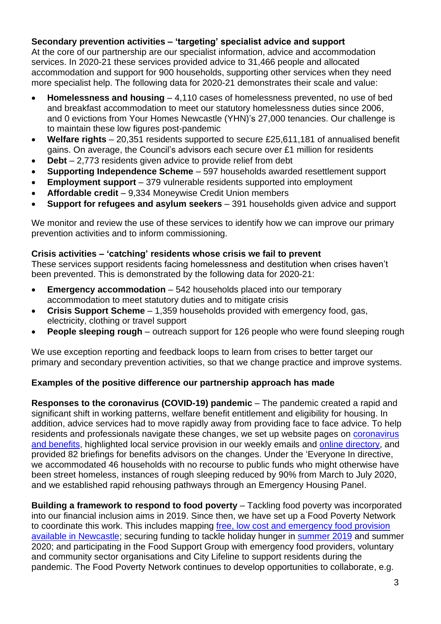# **Secondary prevention activities – 'targeting' specialist advice and support**

At the core of our partnership are our specialist information, advice and accommodation services. In 2020-21 these services provided advice to 31,466 people and allocated accommodation and support for 900 households, supporting other services when they need more specialist help. The following data for 2020-21 demonstrates their scale and value:

- **Homelessness and housing**  4,110 cases of homelessness prevented, no use of bed and breakfast accommodation to meet our statutory homelessness duties since 2006, and 0 evictions from Your Homes Newcastle (YHN)'s 27,000 tenancies. Our challenge is to maintain these low figures post-pandemic
- **Welfare rights** 20,351 residents supported to secure £25,611,181 of annualised benefit gains. On average, the Council's advisors each secure over £1 million for residents
- **Debt** 2,773 residents given advice to provide relief from debt
- **Supporting Independence Scheme** 597 households awarded resettlement support
- **Employment support** 379 vulnerable residents supported into employment
- **Affordable credit**  9,334 Moneywise Credit Union members
- **Support for refugees and asylum seekers**  391 households given advice and support

We monitor and review the use of these services to identify how we can improve our primary prevention activities and to inform commissioning.

#### **Crisis activities – 'catching' residents whose crisis we fail to prevent**

These services support residents facing homelessness and destitution when crises haven't been prevented. This is demonstrated by the following data for 2020-21:

- **Emergency accommodation** 542 households placed into our temporary accommodation to meet statutory duties and to mitigate crisis
- **Crisis Support Scheme**  1,359 households provided with emergency food, gas, electricity, clothing or travel support
- **People sleeping rough** outreach support for 126 people who were found sleeping rough

We use exception reporting and feedback loops to learn from crises to better target our primary and secondary prevention activities, so that we change practice and improve systems.

## **Examples of the positive difference our partnership approach has made**

**Responses to the coronavirus (COVID-19) pandemic** – The pandemic created a rapid and significant shift in working patterns, welfare benefit entitlement and eligibility for housing. In addition, advice services had to move rapidly away from providing face to face advice. To help residents and professionals navigate these changes, we set up website pages on coronavirus [and benefits,](https://www.newcastle.gov.uk/services/welfare-benefits/welfare-rights-and-money-advice/coronavirus-and-benefits-what-changes) highlighted local service provision in our weekly emails and [online directory,](http://www.informationnow.org.uk/) and provided 82 briefings for benefits advisors on the changes. Under the 'Everyone In directive, we accommodated 46 households with no recourse to public funds who might otherwise have been street homeless, instances of rough sleeping reduced by 90% from March to July 2020, and we established rapid rehousing pathways through an Emergency Housing Panel.

**Building a framework to respond to food poverty** – Tackling food poverty was incorporated into our financial inclusion aims in 2019. Since then, we have set up a Food Poverty Network to coordinate this work. This includes mapping [free, low cost and emergency food provision](https://www.informationnow.org.uk/article/food-banks-in-newcastle/)  [available in Newcastle;](https://www.informationnow.org.uk/article/food-banks-in-newcastle/) securing funding to tackle holiday hunger in [summer 2019](https://network.streetgames.org/resources/newcastles-best-summer-ever-end-programme-report) and summer 2020; and participating in the Food Support Group with emergency food providers, voluntary and community sector organisations and City Lifeline to support residents during the pandemic. The Food Poverty Network continues to develop opportunities to collaborate, e.g.